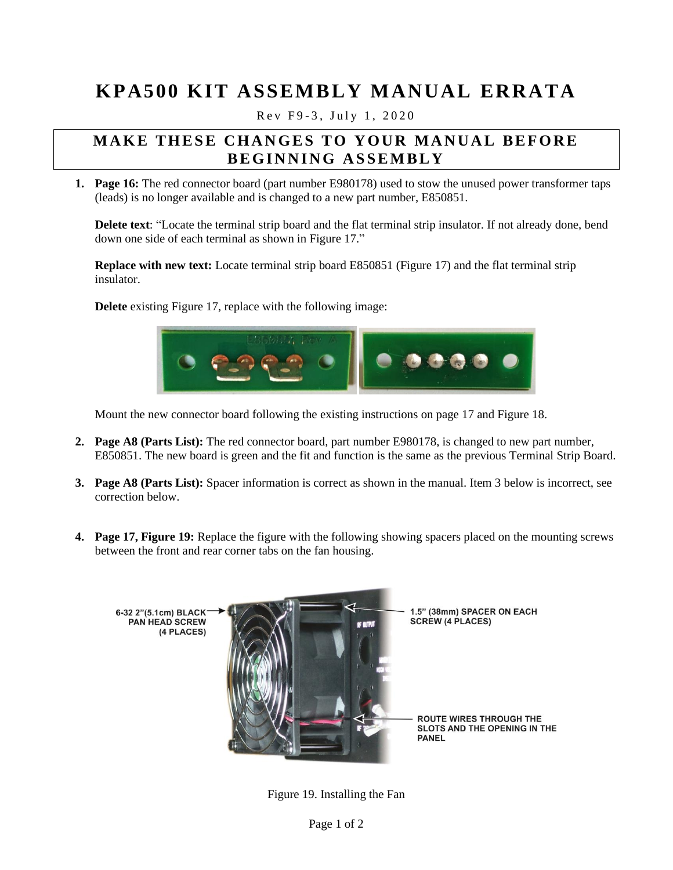## **KPA500 KIT ASSEMBLY MANUAL ERRATA**

Rev F9-3, July 1, 2020

## **MAKE THESE CHANGES TO YOUR MANUAL BEFORE B E G I N N I N G A S S E M B L Y**

**1. Page 16:** The red connector board (part number E980178) used to stow the unused power transformer taps (leads) is no longer available and is changed to a new part number, E850851.

**Delete text**: "Locate the terminal strip board and the flat terminal strip insulator. If not already done, bend down one side of each terminal as shown in Figure 17."

**Replace with new text:** Locate terminal strip board E850851 (Figure 17) and the flat terminal strip insulator.

**Delete** existing Figure 17, replace with the following image:



Mount the new connector board following the existing instructions on page 17 and Figure 18.

- **2. Page A8 (Parts List):** The red connector board, part number E980178, is changed to new part number, E850851. The new board is green and the fit and function is the same as the previous Terminal Strip Board.
- **3. Page A8 (Parts List):** Spacer information is correct as shown in the manual. Item 3 below is incorrect, see correction below.
- **4. Page 17, Figure 19:** Replace the figure with the following showing spacers placed on the mounting screws between the front and rear corner tabs on the fan housing.



Figure 19. Installing the Fan